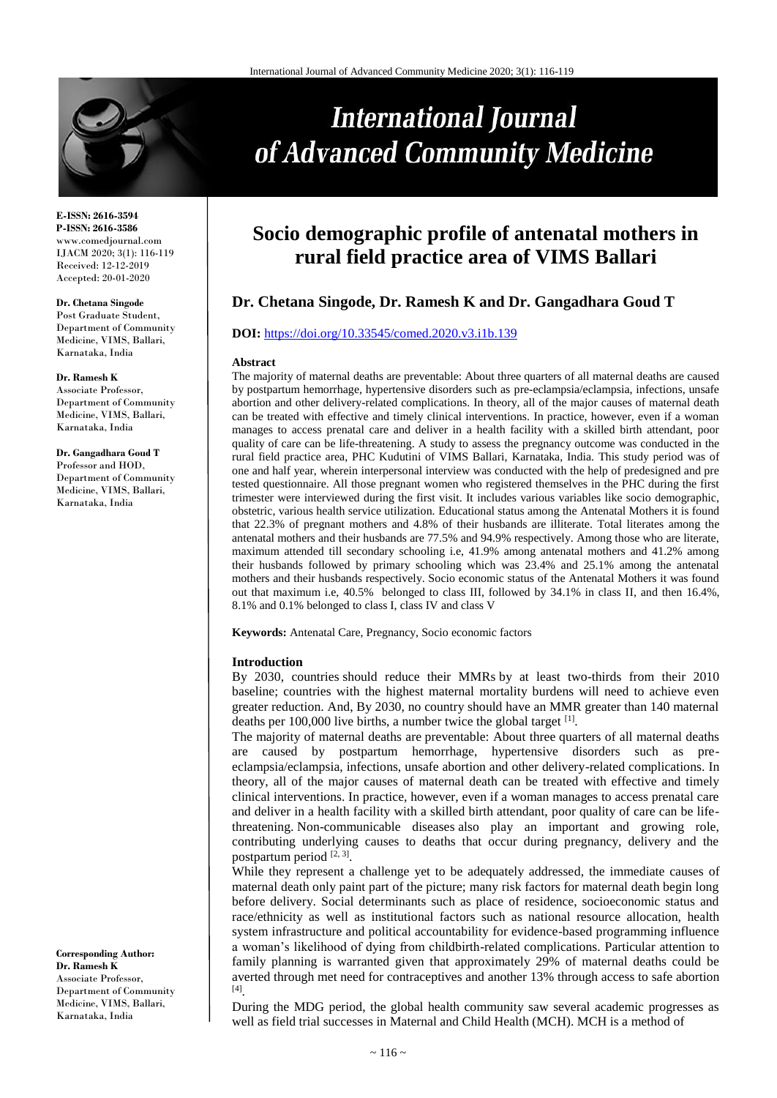

**E-ISSN: 2616-3594 P-ISSN: 2616-3586** www.comedjournal.com IJACM 2020; 3(1): 116-119 Received: 12-12-2019 Accepted: 20-01-2020

#### **Dr. Chetana Singode**

Post Graduate Student, Department of Community Medicine, VIMS, Ballari, Karnataka, India

#### **Dr. Ramesh K**

Associate Professor, Department of Community Medicine, VIMS, Ballari, Karnataka, India

**Dr. Gangadhara Goud T** Professor and HOD, Department of Community Medicine, VIMS, Ballari, Karnataka, India

**Corresponding Author: Dr. Ramesh K** Associate Professor, Department of Community Medicine, VIMS, Ballari, Karnataka, India

# **International Journal** of Advanced Community Medicine

# **Socio demographic profile of antenatal mothers in rural field practice area of VIMS Ballari**

# **Dr. Chetana Singode, Dr. Ramesh K and Dr. Gangadhara Goud T**

#### **DOI:** <https://doi.org/10.33545/comed.2020.v3.i1b.139>

#### **Abstract**

The majority of maternal deaths are preventable: About three quarters of all maternal deaths are caused by postpartum hemorrhage, hypertensive disorders such as pre-eclampsia/eclampsia, infections, unsafe abortion and other delivery-related complications. In theory, all of the major causes of maternal death can be treated with effective and timely clinical interventions. In practice, however, even if a woman manages to access prenatal care and deliver in a health facility with a skilled birth attendant, poor quality of care can be life-threatening. A study to assess the pregnancy outcome was conducted in the rural field practice area, PHC Kudutini of VIMS Ballari, Karnataka, India. This study period was of one and half year, wherein interpersonal interview was conducted with the help of predesigned and pre tested questionnaire. All those pregnant women who registered themselves in the PHC during the first trimester were interviewed during the first visit. It includes various variables like socio demographic, obstetric, various health service utilization. Educational status among the Antenatal Mothers it is found that 22.3% of pregnant mothers and 4.8% of their husbands are illiterate. Total literates among the antenatal mothers and their husbands are 77.5% and 94.9% respectively. Among those who are literate, maximum attended till secondary schooling i.e, 41.9% among antenatal mothers and 41.2% among their husbands followed by primary schooling which was 23.4% and 25.1% among the antenatal mothers and their husbands respectively. Socio economic status of the Antenatal Mothers it was found out that maximum i.e, 40.5% belonged to class III, followed by 34.1% in class II, and then 16.4%, 8.1% and 0.1% belonged to class I, class IV and class V

**Keywords:** Antenatal Care, Pregnancy, Socio economic factors

#### **Introduction**

By 2030, countries should reduce their MMRs by at least two-thirds from their 2010 baseline; countries with the highest maternal mortality burdens will need to achieve even greater reduction. And, By 2030, no country should have an MMR greater than 140 maternal deaths per 100,000 live births, a number twice the global target [1].

The majority of maternal deaths are preventable: About three quarters of all maternal deaths are caused by postpartum hemorrhage, hypertensive disorders such as preeclampsia/eclampsia, infections, unsafe abortion and other delivery-related complications. In theory, all of the major causes of maternal death can be treated with effective and timely clinical interventions. In practice, however, even if a woman manages to access prenatal care and deliver in a health facility with a skilled birth attendant, poor quality of care can be lifethreatening. Non-communicable diseases also play an important and growing role, contributing underlying causes to deaths that occur during pregnancy, delivery and the postpartum period [2, 3].

While they represent a challenge yet to be adequately addressed, the immediate causes of maternal death only paint part of the picture; many risk factors for maternal death begin long before delivery. Social determinants such as place of residence, socioeconomic status and race/ethnicity as well as institutional factors such as national resource allocation, health system infrastructure and political accountability for evidence-based programming influence a woman's likelihood of dying from childbirth-related complications. Particular attention to family planning is warranted given that approximately 29% of maternal deaths could be averted through met need for contraceptives and another 13% through access to safe abortion [4] .

During the MDG period, the global health community saw several academic progresses as well as field trial successes in Maternal and Child Health (MCH). MCH is a method of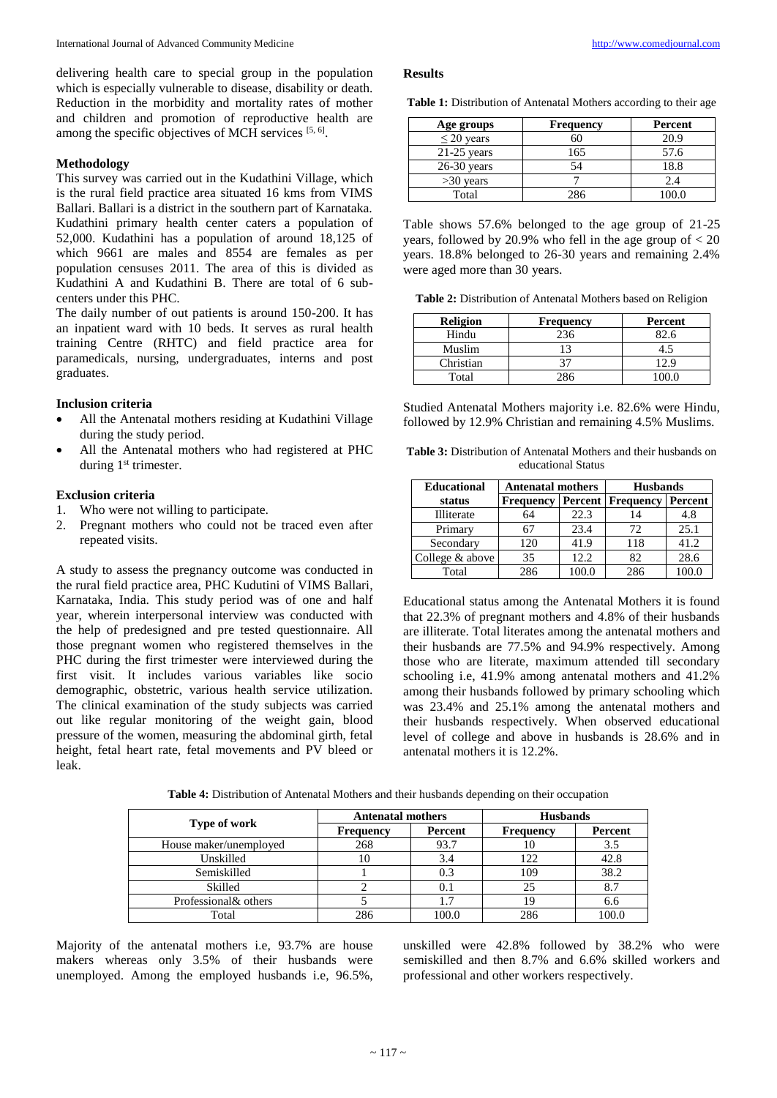delivering health care to special group in the population which is especially vulnerable to disease, disability or death. Reduction in the morbidity and mortality rates of mother and children and promotion of reproductive health are among the specific objectives of MCH services [5, 6].

# **Methodology**

This survey was carried out in the Kudathini Village, which is the rural field practice area situated 16 kms from VIMS Ballari. Ballari is a district in the southern part of Karnataka. Kudathini primary health center caters a population of 52,000. Kudathini has a population of around 18,125 of which 9661 are males and 8554 are females as per population censuses 2011. The area of this is divided as Kudathini A and Kudathini B. There are total of 6 subcenters under this PHC.

The daily number of out patients is around 150-200. It has an inpatient ward with 10 beds. It serves as rural health training Centre (RHTC) and field practice area for paramedicals, nursing, undergraduates, interns and post graduates.

#### **Inclusion criteria**

- All the Antenatal mothers residing at Kudathini Village during the study period.
- All the Antenatal mothers who had registered at PHC during 1<sup>st</sup> trimester.

### **Exclusion criteria**

- 1. Who were not willing to participate.
- 2. Pregnant mothers who could not be traced even after repeated visits.

A study to assess the pregnancy outcome was conducted in the rural field practice area, PHC Kudutini of VIMS Ballari, Karnataka, India. This study period was of one and half year, wherein interpersonal interview was conducted with the help of predesigned and pre tested questionnaire. All those pregnant women who registered themselves in the PHC during the first trimester were interviewed during the first visit. It includes various variables like socio demographic, obstetric, various health service utilization. The clinical examination of the study subjects was carried out like regular monitoring of the weight gain, blood pressure of the women, measuring the abdominal girth, fetal height, fetal heart rate, fetal movements and PV bleed or leak.

#### **Results**

|  |  | Table 1: Distribution of Antenatal Mothers according to their age |  |  |  |  |  |  |
|--|--|-------------------------------------------------------------------|--|--|--|--|--|--|
|--|--|-------------------------------------------------------------------|--|--|--|--|--|--|

| Age groups      | <b>Frequency</b> | Percent |
|-----------------|------------------|---------|
| $\leq$ 20 years |                  | 20.9    |
| $21-25$ years   | 165              | 57.6    |
| $26-30$ years   | 54               | 18.8    |
| $>30$ years     |                  | 2.4     |
| Total           | 286              |         |

Table shows 57.6% belonged to the age group of 21-25 years, followed by 20.9% who fell in the age group of  $<$  20 years. 18.8% belonged to 26-30 years and remaining 2.4% were aged more than 30 years.

**Table 2:** Distribution of Antenatal Mothers based on Religion

| <b>Religion</b> | <b>Frequency</b> | Percent |
|-----------------|------------------|---------|
| Hindu           | 236              | 82.6    |
| Muslim          | 12               |         |
| Christian       | 37               | 12.9    |
| Total           | ი 86             |         |

Studied Antenatal Mothers majority i.e. 82.6% were Hindu, followed by 12.9% Christian and remaining 4.5% Muslims.

**Table 3:** Distribution of Antenatal Mothers and their husbands on educational Status

| <b>Educational</b> | <b>Antenatal mothers</b> |       | <b>Husbands</b>          |         |
|--------------------|--------------------------|-------|--------------------------|---------|
| status             | <b>Frequency</b>         |       | <b>Percent</b> Frequency | Percent |
| Illiterate         | 64                       | 22.3  |                          | 4.8     |
| Primary            |                          | 23.4  | 72                       | 25.1    |
| Secondary          | 120                      | 41.9  | 118                      | 41.2    |
| College & above    | 35                       | 12.2. | 82                       | 28.6    |
| Total              | 286                      |       | 286                      | 100.0   |

Educational status among the Antenatal Mothers it is found that 22.3% of pregnant mothers and 4.8% of their husbands are illiterate. Total literates among the antenatal mothers and their husbands are 77.5% and 94.9% respectively. Among those who are literate, maximum attended till secondary schooling i.e, 41.9% among antenatal mothers and 41.2% among their husbands followed by primary schooling which was 23.4% and 25.1% among the antenatal mothers and their husbands respectively. When observed educational level of college and above in husbands is 28.6% and in antenatal mothers it is 12.2%.

| Table 4: Distribution of Antenatal Mothers and their husbands depending on their occupation |  |
|---------------------------------------------------------------------------------------------|--|
|---------------------------------------------------------------------------------------------|--|

|                        | <b>Antenatal mothers</b> |         | <b>Husbands</b> |         |
|------------------------|--------------------------|---------|-----------------|---------|
| Type of work           | <b>Frequency</b>         | Percent | Frequency       | Percent |
| House maker/unemployed | 268                      | 93.7    | 10              | 3.5     |
| Unskilled              | 10                       | 3.4     | 122             | 42.8    |
| Semiskilled            |                          |         | 109             | 38.2    |
| Skilled                |                          |         | 25              | 8.7     |
| Professional& others   |                          | 1.7     | 19              | 6.6     |
| Total                  | 286                      | 100.0   | 286             | 100.0   |

Majority of the antenatal mothers i.e, 93.7% are house makers whereas only 3.5% of their husbands were unemployed. Among the employed husbands i.e, 96.5%,

unskilled were 42.8% followed by 38.2% who were semiskilled and then 8.7% and 6.6% skilled workers and professional and other workers respectively.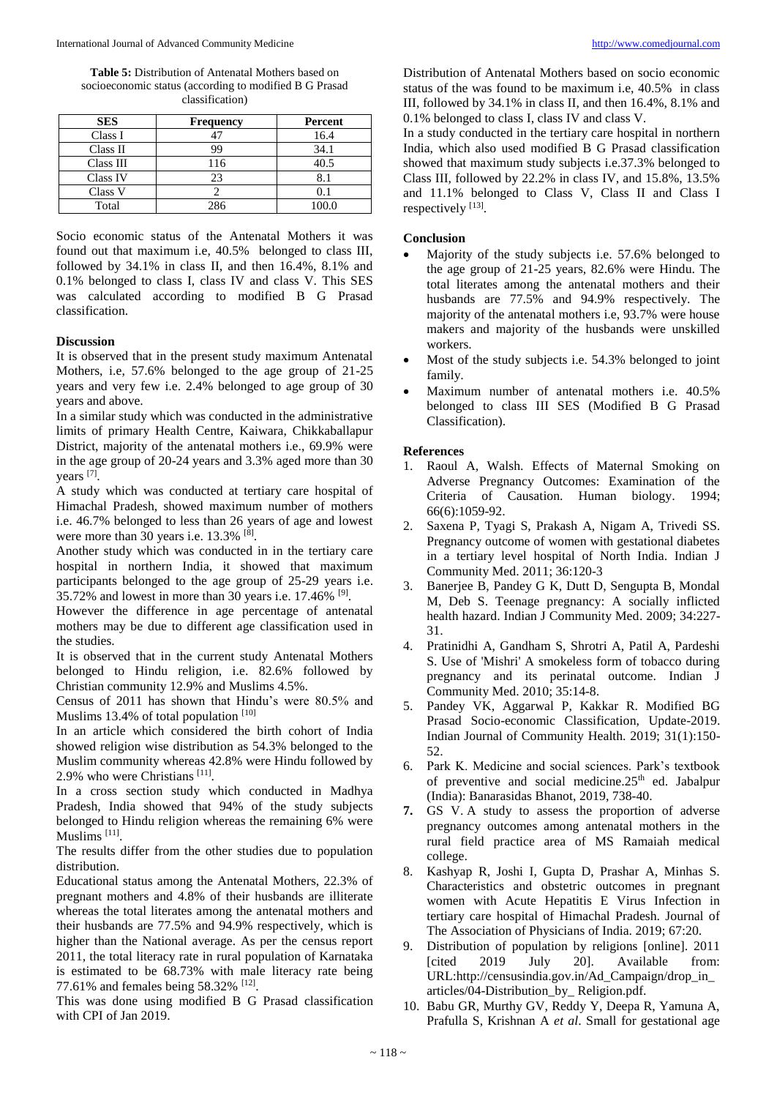**Table 5:** Distribution of Antenatal Mothers based on socioeconomic status (according to modified B G Prasad classification)

| <b>SES</b> | Frequency | Percent |  |
|------------|-----------|---------|--|
| Class I    |           | 16.4    |  |
| Class II   | 99        | 34.1    |  |
| Class III  | 116       | 40.5    |  |
| Class IV   | 23        |         |  |
| Class V    |           | (1)     |  |
| Total      | 286       | 100.0   |  |

Socio economic status of the Antenatal Mothers it was found out that maximum i.e, 40.5% belonged to class III, followed by 34.1% in class II, and then 16.4%, 8.1% and 0.1% belonged to class I, class IV and class V. This SES was calculated according to modified B G Prasad classification.

# **Discussion**

It is observed that in the present study maximum Antenatal Mothers, i.e, 57.6% belonged to the age group of 21-25 years and very few i.e. 2.4% belonged to age group of 30 years and above.

In a similar study which was conducted in the administrative limits of primary Health Centre, Kaiwara, Chikkaballapur District, majority of the antenatal mothers i.e., 69.9% were in the age group of 20-24 years and 3.3% aged more than 30 years [7].

A study which was conducted at tertiary care hospital of Himachal Pradesh, showed maximum number of mothers i.e. 46.7% belonged to less than 26 years of age and lowest were more than 30 years i.e.  $13.3\%$ <sup>[8]</sup>.

Another study which was conducted in in the tertiary care hospital in northern India, it showed that maximum participants belonged to the age group of 25-29 years i.e. 35.72% and lowest in more than 30 years i.e.  $17.46\%$ <sup>[9]</sup>.

However the difference in age percentage of antenatal mothers may be due to different age classification used in the studies.

It is observed that in the current study Antenatal Mothers belonged to Hindu religion, i.e. 82.6% followed by Christian community 12.9% and Muslims 4.5%.

Census of 2011 has shown that Hindu's were 80.5% and Muslims 13.4% of total population [10]

In an article which considered the birth cohort of India showed religion wise distribution as 54.3% belonged to the Muslim community whereas 42.8% were Hindu followed by 2.9% who were Christians<sup>[11]</sup>.

In a cross section study which conducted in Madhya Pradesh, India showed that 94% of the study subjects belonged to Hindu religion whereas the remaining 6% were Muslims<sup>[11]</sup>.

The results differ from the other studies due to population distribution.

Educational status among the Antenatal Mothers, 22.3% of pregnant mothers and 4.8% of their husbands are illiterate whereas the total literates among the antenatal mothers and their husbands are 77.5% and 94.9% respectively, which is higher than the National average. As per the census report 2011, the total literacy rate in rural population of Karnataka is estimated to be 68.73% with male literacy rate being 77.61% and females being 58.32% <sup>[12]</sup>.

This was done using modified B G Prasad classification with CPI of Jan 2019.

Distribution of Antenatal Mothers based on socio economic status of the was found to be maximum i.e, 40.5% in class III, followed by 34.1% in class II, and then 16.4%, 8.1% and 0.1% belonged to class I, class IV and class V.

In a study conducted in the tertiary care hospital in northern India, which also used modified B G Prasad classification showed that maximum study subjects i.e.37.3% belonged to Class III, followed by 22.2% in class IV, and 15.8%, 13.5% and 11.1% belonged to Class V, Class II and Class I respectively [13].

# **Conclusion**

- Majority of the study subjects i.e. 57.6% belonged to the age group of 21-25 years, 82.6% were Hindu. The total literates among the antenatal mothers and their husbands are 77.5% and 94.9% respectively. The majority of the antenatal mothers i.e, 93.7% were house makers and majority of the husbands were unskilled workers.
- Most of the study subjects i.e. 54.3% belonged to joint family.
- Maximum number of antenatal mothers i.e. 40.5% belonged to class III SES (Modified B G Prasad Classification).

# **References**

- 1. Raoul A, Walsh. Effects of Maternal Smoking on Adverse Pregnancy Outcomes: Examination of the Criteria of Causation. Human biology. 1994; 66(6):1059-92.
- 2. Saxena P, Tyagi S, Prakash A, Nigam A, Trivedi SS. Pregnancy outcome of women with gestational diabetes in a tertiary level hospital of North India. Indian J Community Med. 2011; 36:120-3
- 3. Banerjee B, Pandey G K, Dutt D, Sengupta B, Mondal M, Deb S. Teenage pregnancy: A socially inflicted health hazard. Indian J Community Med. 2009; 34:227- 31.
- 4. Pratinidhi A, Gandham S, Shrotri A, Patil A, Pardeshi S. Use of 'Mishri' A smokeless form of tobacco during pregnancy and its perinatal outcome. Indian J Community Med. 2010; 35:14-8.
- 5. Pandey VK, Aggarwal P, Kakkar R. Modified BG Prasad Socio-economic Classification, Update-2019. Indian Journal of Community Health. 2019; 31(1):150- 52.
- 6. Park K. Medicine and social sciences. Park's textbook of preventive and social medicine.25<sup>th</sup> ed. Jabalpur (India): Banarasidas Bhanot, 2019, 738-40.
- **7.** GS V. A study to assess the proportion of adverse pregnancy outcomes among antenatal mothers in the rural field practice area of MS Ramaiah medical college.
- 8. Kashyap R, Joshi I, Gupta D, Prashar A, Minhas S. Characteristics and obstetric outcomes in pregnant women with Acute Hepatitis E Virus Infection in tertiary care hospital of Himachal Pradesh. Journal of The Association of Physicians of India. 2019; 67:20.
- 9. Distribution of population by religions [online]. 2011 [cited 2019 July 20]. Available from: URL:http://censusindia.gov.in/Ad\_Campaign/drop\_in\_ articles/04-Distribution\_by\_ Religion.pdf.
- 10. Babu GR, Murthy GV, Reddy Y, Deepa R, Yamuna A, Prafulla S, Krishnan A *et al*. Small for gestational age